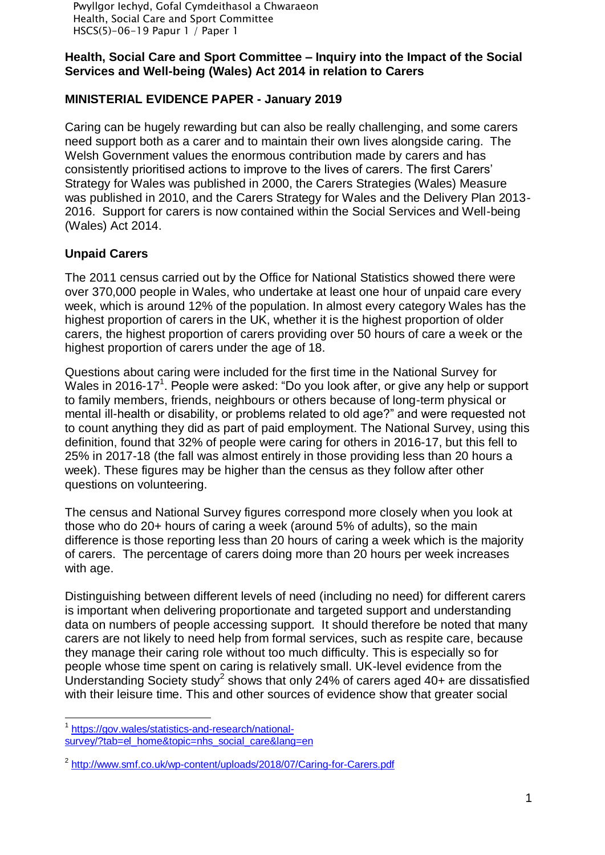Pwyllgor Iechyd, Gofal Cymdeithasol a Chwaraeon Health, Social Care and Sport Committee HSCS(5)-06-19 Papur 1 / Paper 1

### **Health, Social Care and Sport Committee – Inquiry into the Impact of the Social Services and Well-being (Wales) Act 2014 in relation to Carers**

## **MINISTERIAL EVIDENCE PAPER - January 2019**

Caring can be hugely rewarding but can also be really challenging, and some carers need support both as a carer and to maintain their own lives alongside caring. The Welsh Government values the enormous contribution made by carers and has consistently prioritised actions to improve to the lives of carers. The first Carers' Strategy for Wales was published in 2000, the Carers Strategies (Wales) Measure was published in 2010, and the Carers Strategy for Wales and the Delivery Plan 2013- 2016. Support for carers is now contained within the Social Services and Well-being (Wales) Act 2014.

## **Unpaid Carers**

The 2011 census carried out by the Office for National Statistics showed there were over 370,000 people in Wales, who undertake at least one hour of unpaid care every week, which is around 12% of the population. In almost every category Wales has the highest proportion of carers in the UK, whether it is the highest proportion of older carers, the highest proportion of carers providing over 50 hours of care a week or the highest proportion of carers under the age of 18.

Questions about caring were included for the first time in the National Survey for Wales in 2016-17<sup>1</sup>. People were asked: "Do you look after, or give any help or support to family members, friends, neighbours or others because of long-term physical or mental ill-health or disability, or problems related to old age?" and were requested not to count anything they did as part of paid employment. The National Survey, using this definition, found that 32% of people were caring for others in 2016-17, but this fell to 25% in 2017-18 (the fall was almost entirely in those providing less than 20 hours a week). These figures may be higher than the census as they follow after other questions on volunteering.

The census and National Survey figures correspond more closely when you look at those who do 20+ hours of caring a week (around 5% of adults), so the main difference is those reporting less than 20 hours of caring a week which is the majority of carers. The percentage of carers doing more than 20 hours per week increases with age.

Distinguishing between different levels of need (including no need) for different carers is important when delivering proportionate and targeted support and understanding data on numbers of people accessing support. It should therefore be noted that many carers are not likely to need help from formal services, such as respite care, because they manage their caring role without too much difficulty. This is especially so for people whose time spent on caring is relatively small. UK-level evidence from the Understanding Society study<sup>2</sup> shows that only 24% of carers aged 40+ are dissatisfied with their leisure time. This and other sources of evidence show that greater social

<sup>&</sup>lt;sup>1</sup> [https://gov.wales/statistics-and-research/national](https://gov.wales/statistics-and-research/national-survey/?tab=el_home&topic=nhs_social_care&lang=en)[survey/?tab=el\\_home&topic=nhs\\_social\\_care&lang=en](https://gov.wales/statistics-and-research/national-survey/?tab=el_home&topic=nhs_social_care&lang=en)

<sup>&</sup>lt;sup>2</sup> <http://www.smf.co.uk/wp-content/uploads/2018/07/Caring-for-Carers.pdf>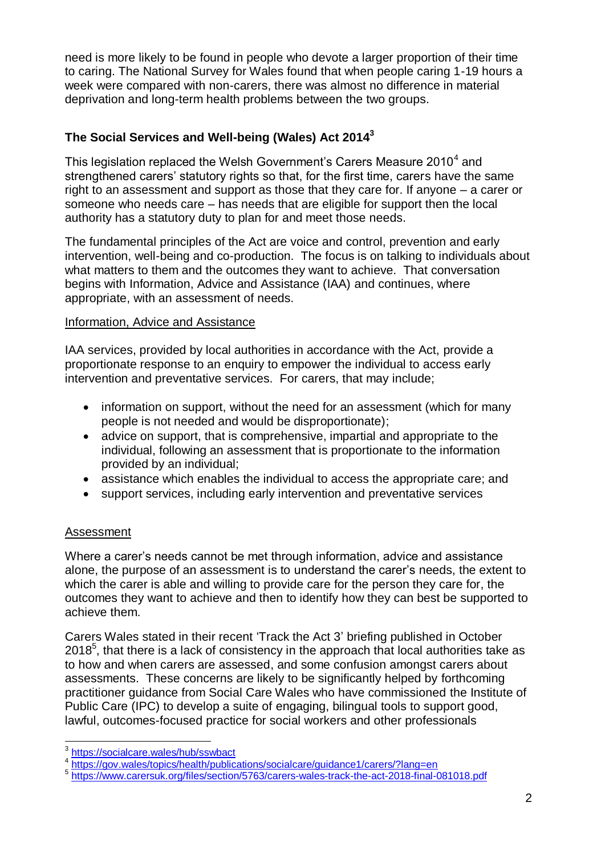need is more likely to be found in people who devote a larger proportion of their time to caring. The National Survey for Wales found that when people caring 1-19 hours a week were compared with non-carers, there was almost no difference in material deprivation and long-term health problems between the two groups.

# **The Social Services and Well-being (Wales) Act 2014<sup>3</sup>**

This legislation replaced the Welsh Government's Carers Measure 2010<sup>4</sup> and strengthened carers' statutory rights so that, for the first time, carers have the same right to an assessment and support as those that they care for. If anyone – a carer or someone who needs care – has needs that are eligible for support then the local authority has a statutory duty to plan for and meet those needs.

The fundamental principles of the Act are voice and control, prevention and early intervention, well-being and co-production. The focus is on talking to individuals about what matters to them and the outcomes they want to achieve. That conversation begins with Information, Advice and Assistance (IAA) and continues, where appropriate, with an assessment of needs.

### Information, Advice and Assistance

IAA services, provided by local authorities in accordance with the Act, provide a proportionate response to an enquiry to empower the individual to access early intervention and preventative services. For carers, that may include;

- information on support, without the need for an assessment (which for many people is not needed and would be disproportionate);
- advice on support, that is comprehensive, impartial and appropriate to the individual, following an assessment that is proportionate to the information provided by an individual;
- assistance which enables the individual to access the appropriate care; and
- support services, including early intervention and preventative services

## Assessment

Where a carer's needs cannot be met through information, advice and assistance alone, the purpose of an assessment is to understand the carer's needs, the extent to which the carer is able and willing to provide care for the person they care for, the outcomes they want to achieve and then to identify how they can best be supported to achieve them.

Carers Wales stated in their recent 'Track the Act 3' briefing published in October  $2018<sup>5</sup>$ , that there is a lack of consistency in the approach that local authorities take as to how and when carers are assessed, and some confusion amongst carers about assessments. These concerns are likely to be significantly helped by forthcoming practitioner guidance from Social Care Wales who have commissioned the Institute of Public Care (IPC) to develop a suite of engaging, bilingual tools to support good, lawful, outcomes-focused practice for social workers and other professionals

 3 <https://socialcare.wales/hub/sswbact>

<sup>4</sup> <https://gov.wales/topics/health/publications/socialcare/guidance1/carers/?lang=en><br>5 https://www.escore.uk.ere/filee/eestien/5762/escore uples treek the est 2018 final

<https://www.carersuk.org/files/section/5763/carers-wales-track-the-act-2018-final-081018.pdf>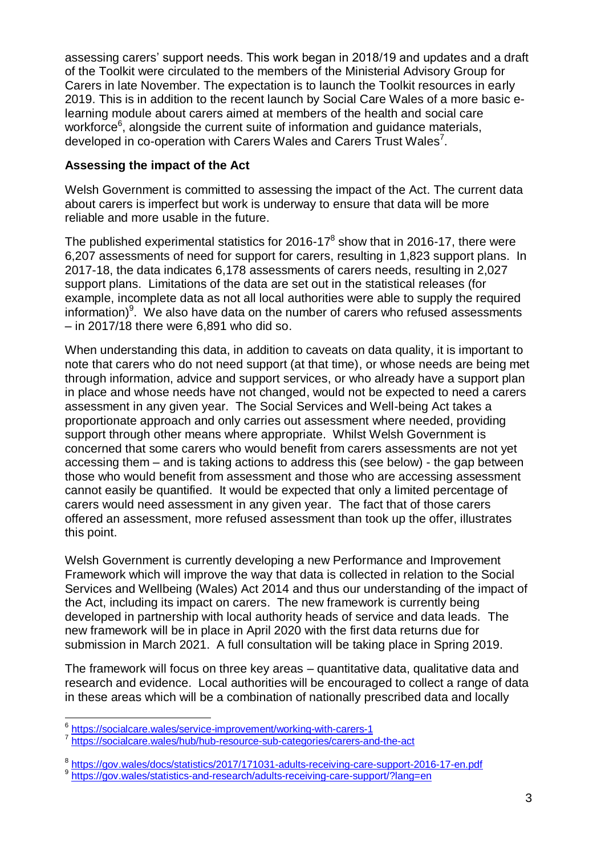assessing carers' support needs. This work began in 2018/19 and updates and a draft of the Toolkit were circulated to the members of the Ministerial Advisory Group for Carers in late November. The expectation is to launch the Toolkit resources in early 2019. This is in addition to the recent launch by Social Care Wales of a more basic elearning module about carers aimed at members of the health and social care workforce $6$ , alongside the current suite of information and guidance materials, developed in co-operation with Carers Wales and Carers Trust Wales<sup>7</sup>.

## **Assessing the impact of the Act**

Welsh Government is committed to assessing the impact of the Act. The current data about carers is imperfect but work is underway to ensure that data will be more reliable and more usable in the future.

The published experimental statistics for 2016-17 $^8$  show that in 2016-17, there were 6,207 assessments of need for support for carers, resulting in 1,823 support plans. In 2017-18, the data indicates 6,178 assessments of carers needs, resulting in 2,027 support plans. Limitations of the data are set out in the statistical releases (for example, incomplete data as not all local authorities were able to supply the required information) $9$ . We also have data on the number of carers who refused assessments – in 2017/18 there were 6,891 who did so.

When understanding this data, in addition to caveats on data quality, it is important to note that carers who do not need support (at that time), or whose needs are being met through information, advice and support services, or who already have a support plan in place and whose needs have not changed, would not be expected to need a carers assessment in any given year. The Social Services and Well-being Act takes a proportionate approach and only carries out assessment where needed, providing support through other means where appropriate. Whilst Welsh Government is concerned that some carers who would benefit from carers assessments are not yet accessing them – and is taking actions to address this (see below) - the gap between those who would benefit from assessment and those who are accessing assessment cannot easily be quantified. It would be expected that only a limited percentage of carers would need assessment in any given year. The fact that of those carers offered an assessment, more refused assessment than took up the offer, illustrates this point.

Welsh Government is currently developing a new Performance and Improvement Framework which will improve the way that data is collected in relation to the Social Services and Wellbeing (Wales) Act 2014 and thus our understanding of the impact of the Act, including its impact on carers. The new framework is currently being developed in partnership with local authority heads of service and data leads. The new framework will be in place in April 2020 with the first data returns due for submission in March 2021. A full consultation will be taking place in Spring 2019.

The framework will focus on three key areas – quantitative data, qualitative data and research and evidence. Local authorities will be encouraged to collect a range of data in these areas which will be a combination of nationally prescribed data and locally

l 6 <https://socialcare.wales/service-improvement/working-with-carers-1>

<sup>7</sup> <https://socialcare.wales/hub/hub-resource-sub-categories/carers-and-the-act>

<sup>&</sup>lt;sup>8</sup> <https://gov.wales/docs/statistics/2017/171031-adults-receiving-care-support-2016-17-en.pdf><br><sup>9</sup> https://gov.wales/dotatistics.org/ research/odults-receiving-care.oupport/2lang-en

<https://gov.wales/statistics-and-research/adults-receiving-care-support/?lang=en>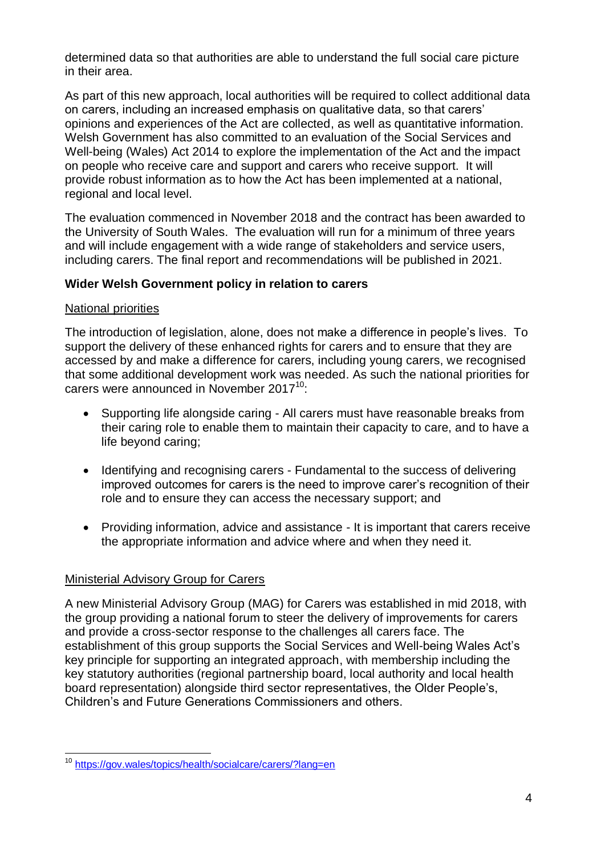determined data so that authorities are able to understand the full social care picture in their area.

As part of this new approach, local authorities will be required to collect additional data on carers, including an increased emphasis on qualitative data, so that carers' opinions and experiences of the Act are collected, as well as quantitative information. Welsh Government has also committed to an evaluation of the Social Services and Well-being (Wales) Act 2014 to explore the implementation of the Act and the impact on people who receive care and support and carers who receive support. It will provide robust information as to how the Act has been implemented at a national, regional and local level.

The evaluation commenced in November 2018 and the contract has been awarded to the University of South Wales. The evaluation will run for a minimum of three years and will include engagement with a wide range of stakeholders and service users, including carers. The final report and recommendations will be published in 2021.

## **Wider Welsh Government policy in relation to carers**

## National priorities

The introduction of legislation, alone, does not make a difference in people's lives. To support the delivery of these enhanced rights for carers and to ensure that they are accessed by and make a difference for carers, including young carers, we recognised that some additional development work was needed. As such the national priorities for carers were announced in November 2017<sup>10</sup>:

- Supporting life alongside caring All carers must have reasonable breaks from their caring role to enable them to maintain their capacity to care, and to have a life beyond caring;
- Identifying and recognising carers Fundamental to the success of delivering improved outcomes for carers is the need to improve carer's recognition of their role and to ensure they can access the necessary support; and
- Providing information, advice and assistance It is important that carers receive the appropriate information and advice where and when they need it.

## Ministerial Advisory Group for Carers

A new Ministerial Advisory Group (MAG) for Carers was established in mid 2018, with the group providing a national forum to steer the delivery of improvements for carers and provide a cross-sector response to the challenges all carers face. The establishment of this group supports the Social Services and Well-being Wales Act's key principle for supporting an integrated approach, with membership including the key statutory authorities (regional partnership board, local authority and local health board representation) alongside third sector representatives, the Older People's, Children's and Future Generations Commissioners and others.

 $\overline{\phantom{a}}$ <sup>10</sup> <https://gov.wales/topics/health/socialcare/carers/?lang=en>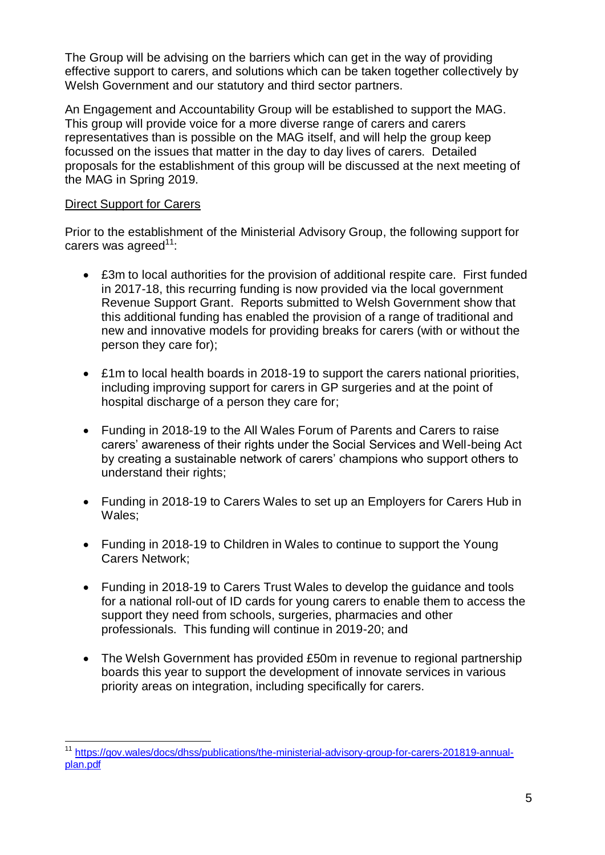The Group will be advising on the barriers which can get in the way of providing effective support to carers, and solutions which can be taken together collectively by Welsh Government and our statutory and third sector partners.

An Engagement and Accountability Group will be established to support the MAG. This group will provide voice for a more diverse range of carers and carers representatives than is possible on the MAG itself, and will help the group keep focussed on the issues that matter in the day to day lives of carers. Detailed proposals for the establishment of this group will be discussed at the next meeting of the MAG in Spring 2019.

# Direct Support for Carers

 $\overline{\phantom{a}}$ 

Prior to the establishment of the Ministerial Advisory Group, the following support for carers was agreed $11$ :

- £3m to local authorities for the provision of additional respite care. First funded in 2017-18, this recurring funding is now provided via the local government Revenue Support Grant. Reports submitted to Welsh Government show that this additional funding has enabled the provision of a range of traditional and new and innovative models for providing breaks for carers (with or without the person they care for);
- £1m to local health boards in 2018-19 to support the carers national priorities, including improving support for carers in GP surgeries and at the point of hospital discharge of a person they care for;
- Funding in 2018-19 to the All Wales Forum of Parents and Carers to raise carers' awareness of their rights under the Social Services and Well-being Act by creating a sustainable network of carers' champions who support others to understand their rights;
- Funding in 2018-19 to Carers Wales to set up an Employers for Carers Hub in Wales;
- Funding in 2018-19 to Children in Wales to continue to support the Young Carers Network;
- Funding in 2018-19 to Carers Trust Wales to develop the quidance and tools for a national roll-out of ID cards for young carers to enable them to access the support they need from schools, surgeries, pharmacies and other professionals. This funding will continue in 2019-20; and
- The Welsh Government has provided £50m in revenue to regional partnership boards this year to support the development of innovate services in various priority areas on integration, including specifically for carers.

<sup>&</sup>lt;sup>11</sup> [https://gov.wales/docs/dhss/publications/the-ministerial-advisory-group-for-carers-201819-annual](https://gov.wales/docs/dhss/publications/the-ministerial-advisory-group-for-carers-201819-annual-plan.pdf)[plan.pdf](https://gov.wales/docs/dhss/publications/the-ministerial-advisory-group-for-carers-201819-annual-plan.pdf)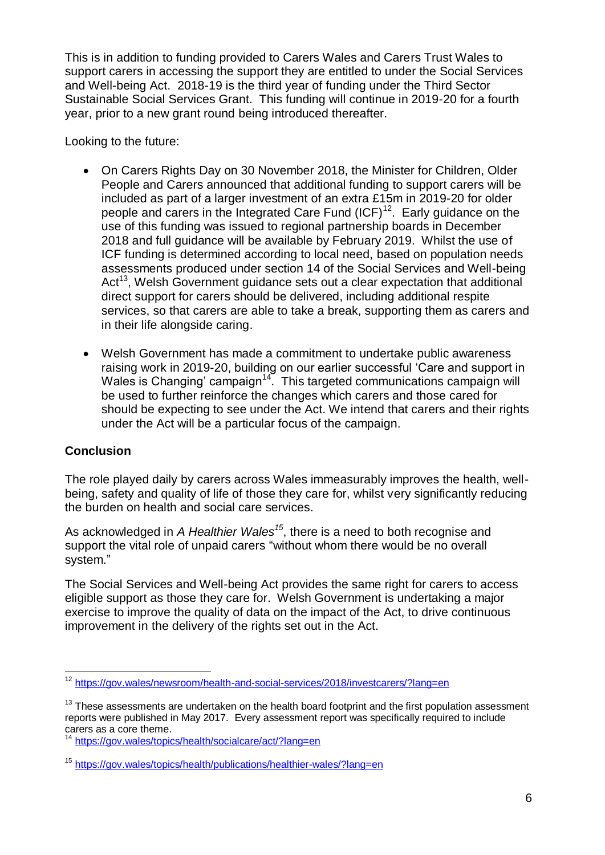This is in addition to funding provided to Carers Wales and Carers Trust Wales to support carers in accessing the support they are entitled to under the Social Services and Well-being Act. 2018-19 is the third year of funding under the Third Sector Sustainable Social Services Grant. This funding will continue in 2019-20 for a fourth year, prior to a new grant round being introduced thereafter.

Looking to the future:

- On Carers Rights Day on 30 November 2018, the Minister for Children, Older People and Carers announced that additional funding to support carers will be included as part of a larger investment of an extra £15m in 2019-20 for older people and carers in the Integrated Care Fund (ICF)<sup>12</sup>. Early guidance on the use of this funding was issued to regional partnership boards in December 2018 and full guidance will be available by February 2019. Whilst the use of ICF funding is determined according to local need, based on population needs assessments produced under section 14 of the Social Services and Well-being Act<sup>13</sup>, Welsh Government guidance sets out a clear expectation that additional direct support for carers should be delivered, including additional respite services, so that carers are able to take a break, supporting them as carers and in their life alongside caring.
- Welsh Government has made a commitment to undertake public awareness raising work in 2019-20, building on our earlier successful 'Care and support in Wales is Changing' campaign<sup>14</sup>. This targeted communications campaign will be used to further reinforce the changes which carers and those cared for should be expecting to see under the Act. We intend that carers and their rights under the Act will be a particular focus of the campaign.

## **Conclusion**

The role played daily by carers across Wales immeasurably improves the health, wellbeing, safety and quality of life of those they care for, whilst very significantly reducing the burden on health and social care services.

As acknowledged in *A Healthier Wales<sup>15</sup>*, there is a need to both recognise and support the vital role of unpaid carers "without whom there would be no overall system."

The Social Services and Well-being Act provides the same right for carers to access eligible support as those they care for. Welsh Government is undertaking a major exercise to improve the quality of data on the impact of the Act, to drive continuous improvement in the delivery of the rights set out in the Act.

l <sup>12</sup> <https://gov.wales/newsroom/health-and-social-services/2018/investcarers/?lang=en>

 $13$  These assessments are undertaken on the health board footprint and the first population assessment reports were published in May 2017. Every assessment report was specifically required to include carers as a core theme.

<https://gov.wales/topics/health/socialcare/act/?lang=en>

<sup>15</sup> <https://gov.wales/topics/health/publications/healthier-wales/?lang=en>